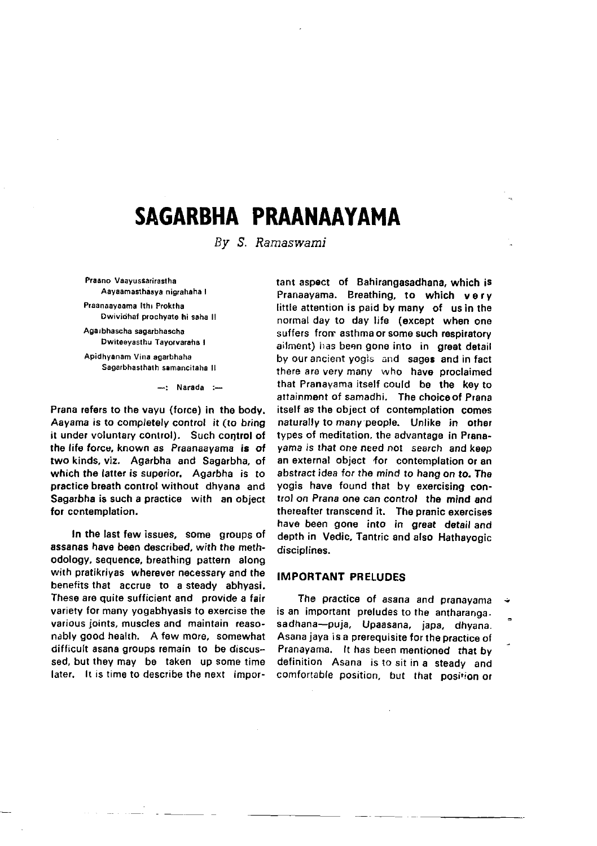# SAGARBHA PRAANAAYAMA

By S. Ramaswami

Praano Vaavussarirastha Aayaamasthasya nigrahaha I

Praanaayaama Ithi Proktha Dwiviohaf prochyate hi saha ll

Agarbhascha sagaabhascha Dwil6eyasthu Tayorvarahs I

Apidhyonam Vina sgarbhaha Sagarbhasthath samancitaha II

 $-$ : Narada : $-$ 

Prana refers to the vayu (force) in the body. Aayama is to completely control it (to bring it under voluntary control). Such control of the life force, known as Praanaayama is of two kinds, viz. Agarbha and Sagarbha, of which the latter is superior. Agarbha is to practice breath control without dhyana and Sagarbha is such a practice with an object for contemplation.

In the last few issues, some groups of assanas have been described, with the methodology, sequence, breathing pattern along with pratikriyas wherevet necessary and the benefits that accrue to a steady abhyasi. These are quite sufficient and provide a fair variety for many yogabhyasis to exercise the various joints, muscles and maintain reasonably good health. A few more, somewhat difficult asana groups remain to be discussed, but they may be taken up some time later. It is time to describe the next important aspect of Bahirangasadhana, which is Pranaayama. Breathing, to which very little attention is paid by many of us in the normal day to day life (except when one suffers from asthma or some such respiratory ailment) has been gone into in great detail by our ancient yogis and sages and in fact there are very many who have proclaimed that Pranayama itself could be the key to attainment of samadhi. The choiceof Prana itself as the object of contemplation comos naturally to many people. Unlike in other types of meditation, the advantage in Pranayama is that one need not search and keep an external object for contemplation or an abstract idea for the mind to hang on to. The yogis have found that by exercising control on Prana one can control the mind and thereafter transcend it. The pranic exorcises have been gone into in great detail and depth in Vedic, Tantric and also Hathayogic disciplines.

## IMPORTANT PRELUDES

The practice of asana and pranayama is an important preludes to the antharangasadhana-puja, Upaasana. japa, dhyana. Asana jaya is a prerequisite tor the practice of Pranayama. It has been mentioned that by definition Asana is to sit in a steady and comfortable position, but that posirion or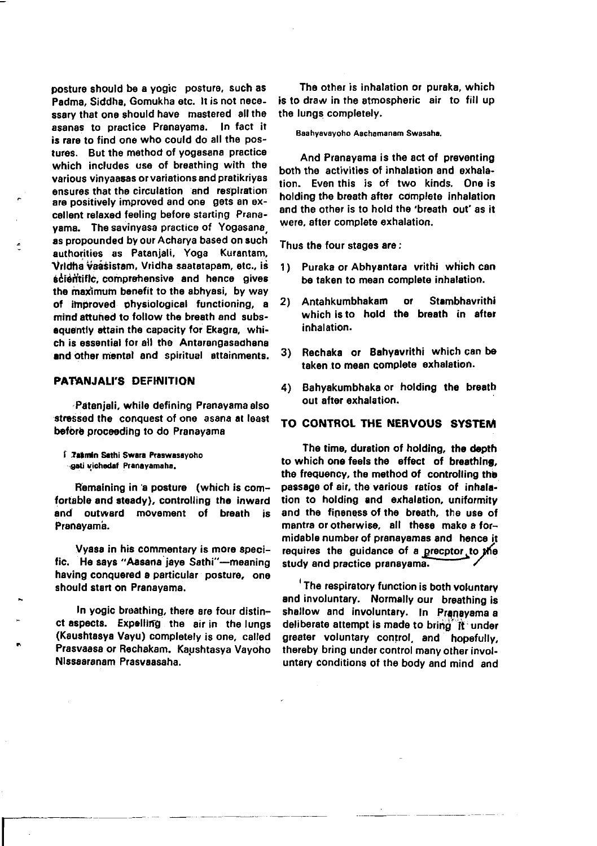posture should be a yogic posture, such as Padma, Siddha, Gomukha etc. It is not necessary that one should have mastered all the asanas to practice Pranayama. In fact it is rare to find one who could do all the postures. But the method of vogasana practice which includes use of breathing with the various vinvaasas or variations and pratikrivas ensures that the circulation and respiration are positively improved and one gets an excellent relaxed feeling before starting Pranavama. The savinyasa practice of Yogasana as propounded by our Acharya based on such authorities as Patanjali, Yoga Kurantam, Vridha vaasistam, Vridha saatatapam, etc., is scientific, comprehensive and hence gives the maximum benefit to the abhyasi, by way of improved physiological functioning, a mind attuned to follow the breath and subsequantly attain the capacity for Ekagra. which is essential for all the Antarangasadhana and other mental and spiritual attainments.

#### PATANJALI'S DEFINITION

Pateniali, while defining Pranayama also stressed the conquest of one asana at least before proceeding to do Pranavama

**[ Tabmin Sathi Swara Praswasayoho** gati vichedaf Pranayamaha.

Remaining in a posture (which is comfortable and steady), controlling the inward and outward movement of breath is Pranavama.

Vyasa in his commentary is more specific. He says "Aasana jaye Sathi"-meaning having conquered a particular posture, one should start on Pranayama.

In vogic breathing, there are four distinct aspects. Expelling the air in the lungs (Kaushtasya Vayu) completely is one, called Prasvaasa or Rechakam. Kaushtasya Vavoho Nissaaranam Prasyaasaha.

The other is inhalation or puraka, which is to draw in the atmospheric air to fill up the lungs completely.

#### Baahyavavoho Aachamanam Swasaha.

And Pranavama is the act of preventing both the activities of inhalation and exhalation. Even this is of two kinds. One is holding the breath after complete inhalation and the other is to hold the 'breath out' as it were, after complete exhalation.

Thus the four stages are:

- 1) Puraka or Abhyantara vrithi which can be taken to mean complete inhalation.
- **Stambhavrithi**  $2<sub>1</sub>$ Antahkumbhakam **or** which is to hold the breath in after inhalation.
- Rechaka or Bahyavrithi which can be  $3)$ taken to mean complete exhalation.
- 4) Bahvakumbhaka or holding the breath out after exhalation.

## TO CONTROL THE NERVOUS SYSTEM

The time, duration of holding, the depth to which one feels the effect of breathing. the frequency, the method of controlling the passage of air, the various ratios of inhalation to holding and exhalation, uniformity and the fineness of the breath, the use of mantra or otherwise. all these make a formidable number of pranavamas and hence it requires the guidance of a precptor to the study and practice pranayama.

<sup>1</sup> The respiratory function is both voluntary and involuntary. Normally our breathing is shallow and involuntary. In Pranayama a deliberate attempt is made to bring it under greater voluntary control, and hopefully, thereby bring under control many other involuntary conditions of the body and mind and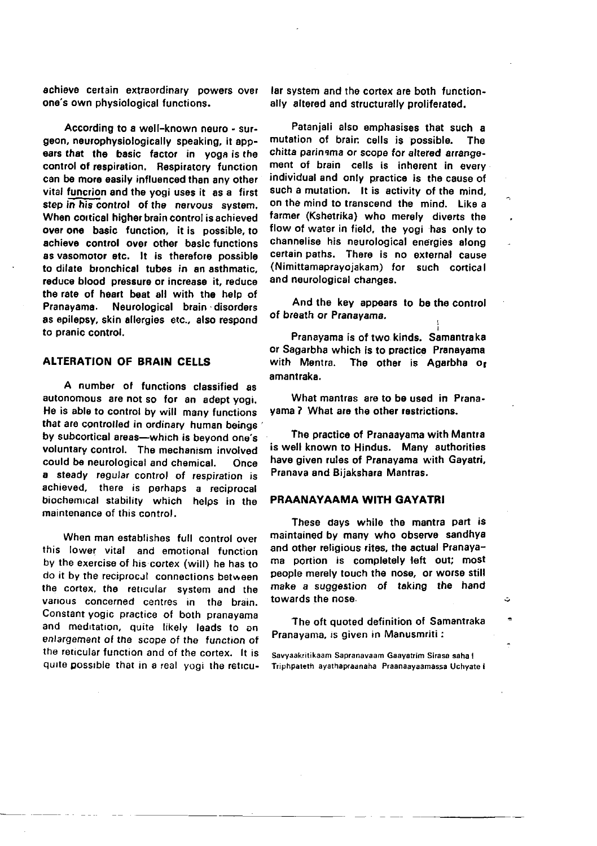achieve certain extraordinary powers over one's own physiological functions.

According to a well-known neuro - surgeon, neurophysiologically speaking, it appears that the basic factor in yoga is the control of respiration. Respiratory function can be more easily influenced than any other vital function and the vooi uses it as a first step in his control of the nervous system. When cortical higher brain control is achieved over one basic function, it is possible, to achieve control over other basic functions as vasomotor etc. It is therefore possible to dilate bronchical tubes in an asthmatic. reduce blood pressure or increase it, reduce the rate of heart beat all with the help of Pranavama. Neurological brain disorders as epilepsy, skin allergies etc., also respond to pranic control.

## **ALTERATION OF BRAIN CELLS**

A number of functions classified as autonomous are not so for an adept yogi. He is able to control by will many functions that are controlled in ordinary human beings by subcortical areas-which is beyond one's voluntary control. The mechanism involved could be neurological and chemical. Once a steady regular control of respiration is achieved, there is perhaps a reciprocal biochemical stability which helps in the maintenance of this control.

When man establishes full control over this lower vital and emotional function by the exercise of his cortex (will) he has to do it by the reciprocal connections between the cortex, the reticular system and the various concerned centres in the brain. Constant yogic practice of both pranavama and meditation, quite likely leads to an enlargement of the scope of the function of the reticular function and of the cortex. It is quite possible that in a real vooi the reticular system and the cortex are both functionally altered and structurally proliferated.

Patanjali also emphasises that such a mutation of brain cells is possible. The chitta parinama or scope for altered arrangement of brain cells is inherent in every individual and only practice is the cause of such a mutation. It is activity of the mind. on the mind to transcend the mind. Like a farmer (Kshetrika) who merely diverts the flow of water in field, the yogi has only to channelise his neurological energies along certain paths. There is no external cause (Nimittamaprayojakam) for such cortical and neurological changes.

And the key appears to be the control of breath or Pranayama.

Pranayama is of two kinds. Samantraka or Sagarbha which is to practice Pranayama with Mentra. The other is Agarbha or amantraka.

What mantras are to be used in Pranayama ? What are the other restrictions.

The practice of Pranaavama with Mantra is well known to Hindus. Many authorities have given rules of Pranavama with Gavatri, Pranava and Bijakshara Mantras.

#### PRAANAYAAMA WITH GAYATRI

These days while the mantra part is maintained by many who observe sandhya and other religious rites, the actual Pranayama portion is completely left out; most people merely touch the nose, or worse still make a suggestion of taking the hand towards the nose.

The oft quoted definition of Samantraka Pranavama, is given in Manusmriti :

A,

Savyaakritikaam Sapranavaam Gaavatrim Sirasa saha I Triphpateth ayathapraanaha Praanaayaamassa Uchyate I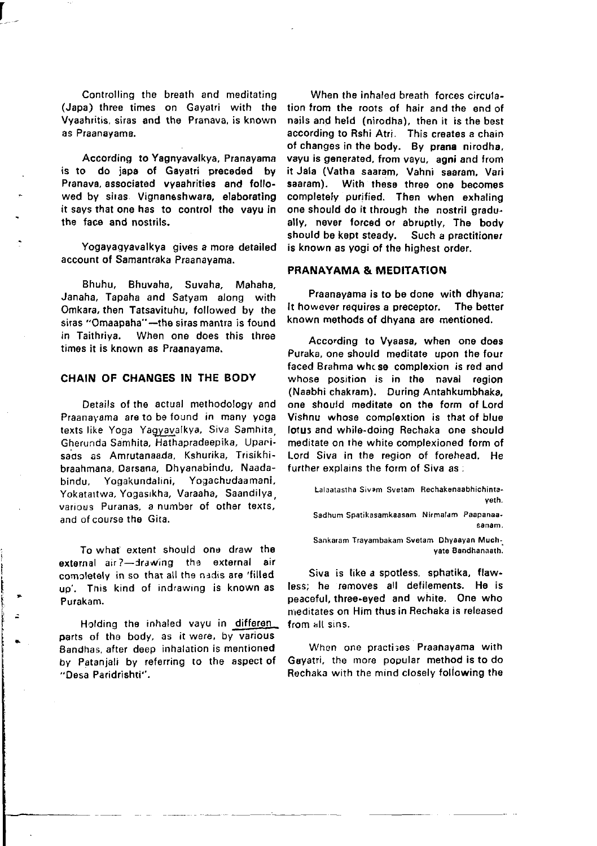Controlling the breath and meditating (Japa) three times on Gayatri with the Vyaahritis, siras and the Pranava, is known as Praanayama.

According to Yagnyavalkya, Pranayama is to do japa of Gayatri preceded by Pranava, associated vyaahrities and followed by siras. Vignaneshwara, elaborating it says that one has to control the vayu in the face and nostrils.

Yogayaqyavalkya gives a more detailed account of Samantraka Praanayama.

Bhuhu, Bhuvaha, Suvaha, Mahaha, Janaha, Tapaha and Satyam along with Omkara, then Tatsavituhu, followed by the siras "Omaapaha"-the siras mantra is found<br>in Taithriva. When one does this three When one does this three times it is known as Praanayama.

#### CHAIN OF CHANGES IN THE BODY

Details of the actual methodo'ogy and Praanayama are to be found in many yoga texts like Yoga Yagyavalkya, Siva Samhita, Gherunda Samhita, Hathapradeepika, Upanisads as Amrutanaada, Kshurika, Trisikhibraahmana, Oarsana, Dhyanabindu, Naadabindu, Yogakundalini, Yogachudaamani, Yokatattwa, Yogasikha, Varaaha, Saandilya various Puranas. a number of other texts, and ofcourse the Gita.

To what extent should one draw the external air?-drawing the external air completely in so that all the nadis are 'filled up'. Tnis kind of indrawing is known as Purakam.

Holding the inhaled vayu in differen parts of the body, as it were, by various Bandhas, after deep inhalation is mentioned by Patanjali by referring to the aspect of "Oesa Paridrishti".

When the inhaled breath forces circulation from the roots of hair and the end of nails and held (nirodha), then it is the best according to Rshi Atri. This creates a chain ot changes in the body. By prana nirodha, vayu is generated, from vayu, agni and from it Jala (Vatha saaram, Vahni saaram, Vari With these three one becomes completely purified. Then when exhaling one should do it through the nostril gradually, never forced or abruptly, The body should be kopt steady. Such a practitionet is known as yogi of the highest order.

## PRANAYAMA & MEDITATION

Praanayama is to be done with dhyana; It however requires a preceptor, The better known methods of dhyana are mentioned.

According to Vyaasa, when one does Puraka, one should meditate upon the fout faced Brahma whcse complexion is red and whose position is in the naval region (Naabhi chakram). During Antahkumbhaka, one should meditate on the form of Lord Vishnu whose complextion is that of blue lotus and while-doing Rechaka one should meditate on the white complexioned form of Lord Siva in the region of forehead. He further explains the form of Siva as;

Lalaatastha Sivam Svetam Rechakenaabhichintaveth. Sadhum Soatikasamkaasam, Nirmalam, Paapanaasanam

Sankaram Trayambakam Svelam Dhyaayan Muchyate Bandhanaath.

Siva is like a spotless, sphatika, flawless; he removes all defilements. He is peaceful, three-eyed and white. One who meditates on Him thus in Rechaka is released from alt sins,

When one practi3es Praanayama with Gayari, the more popular method is to do Rechaka with the mind closely following the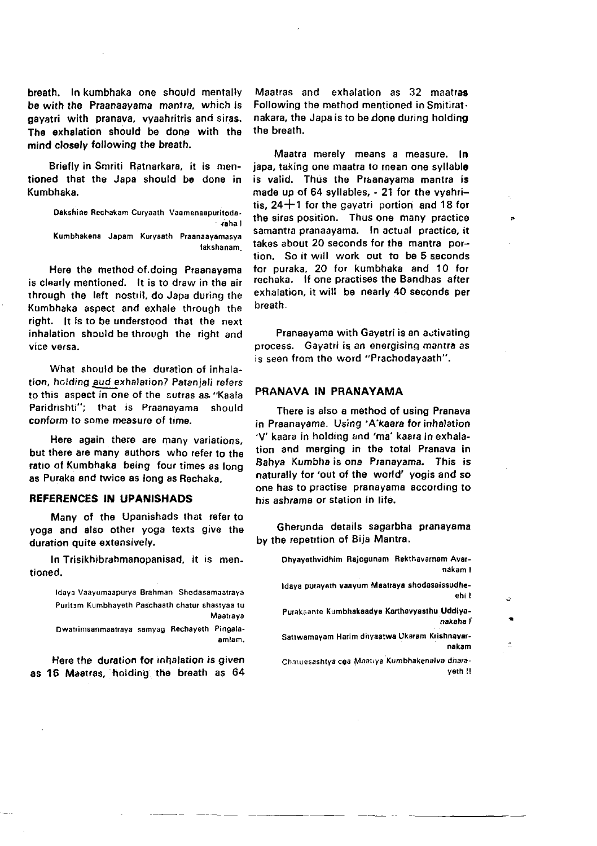breath. In kumbhaka one should mentally bs with lhe Praanaayama mantra, which is gayatri with pranava, vyaahritris and siras. The exhalation should be dono with the mind closely following the breath.

Briefly in Smriti Batnarkara, it is mentioned that the Japa should be done in Kumbhaka.

> Oakshine Rechakam Curyaath Vasmenaapuritoda- ,oha I Kumbhakena Japam Kuryaath Praanaayamasya lakshanam.

Here the method of doing Praanayama is clearly mentioned. lt is to draw in the air rhrough the left nostril, do Japa during the Kumbhaka aspect and exhale through the right. lt is to be understood that the next inhalation should be through the right and vice versa.

What should be the duration of inhalation, holding aud exhalarion? Patanjali refers to this aspect in one of the sutras as "Kaala Paridrishti"; that is Praanayama should conform to some measure of time.

Here again there are many variations. but there are many authors who refer to tho ratio of Kumbhaka being four times as long as Puraka and twice as long as Rechaka.

#### BEFERENCES IN UPANISHADS

Many of the Upanishads that refer to yoga and also other yoga texts give the duration quite extensively.

In Trisikhibrahmanopanisad, it is mentioned.

> ldaya Vaayumaapurya Srahman Shodasamaatraya Puritam Kumbhayeth Paschaath chatur shastyaa tu Maatrava

> Dwatrimsanmaatraya samyag Rechayeth Pingalaamlam.

Here the duration for inhalation is given as 16 Mastras, holding the breath as 64

Maatras and exhalation as 32 maatras Following the method mentioned in Smitirat. nakara, the Japa is to be done during holding the breath.

Maatra merely means a measure. In japa, taking one maatra to mean one syllable is valid. Thus the Praanayama mantra is made up of 64 syllables, - 21 for the vyahritis,  $24+1$  for the gayatri portion and 18 for the siras position. Thus one many practice samantra pranaayama. In actual practice, it takes about 20 seconds for the mantra portion, So it will work out to be 5 seconds tor puraka, 20 for kumbhaka and 10 for rechaka. lf one practises the Bandhas atter exhalation, it will be nearly 40 seconds per breath.

Pranaayama with Gayatri is an activating process. Gayatri is an energising mantra as is seen from the word "Prachodavaath".

#### PRANAVA IN PRANAYAMA

There is also a method of using Pranava in Praanayama. Using 'A'kaara for inhalation 'V' kaara in holding and 'ma' kaara in exhalation and morging in the total Pranava in Eahya Kumbha is one Pranayama. This is naturally for 'out of the world' yogis and so one has to practise pranayama according to his ashrama or station in lite.

Gherunda details sagarbha pranayama by the repetition of Bija Mantra.

> Dhyayethvidhim Rajogunam Rekthavarnam Avarnakam I

> -Idaya purayeth vaayum Maatraya shodasaissudhe<br>| ehi

Purakaante Kumbhakaadye Karthavyasthu Uddiya-<br>Aakaba f

Sattwamayam Harim dhyaatwa Ukaram Krishnavar-

 $\ddot{\phantom{1}}$ 

Chatuesashtya coa Maatrya Kumbhakenaiva dharaveth II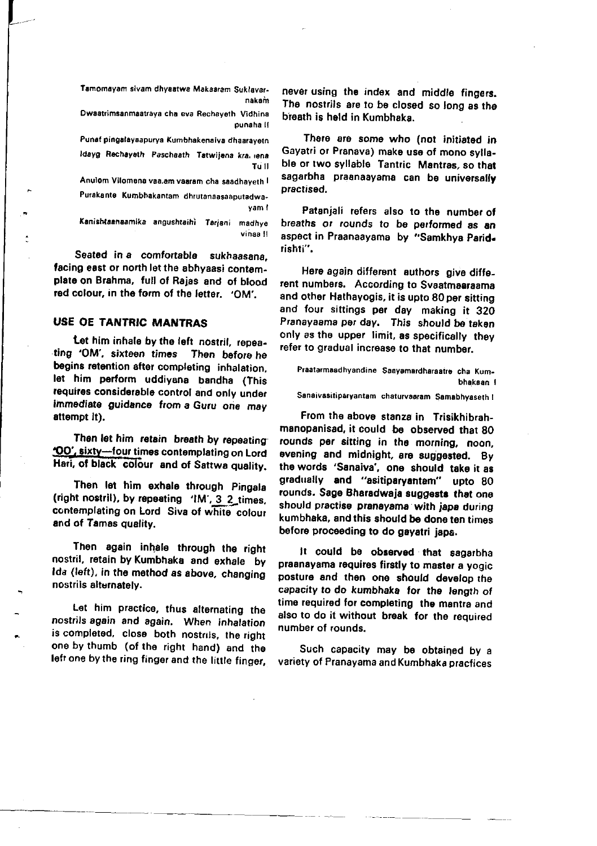Tamomayam sivam dhyaatwa Makaaram Suklavarnakam

Dwaatrimsanmaatrava cha eva Rechaveth Vidhina punaha il

Punaf pingalaysapurya Kumbhakenaiva dhaarayetn Idayg Rechayeth Paschaath Tatwijena kra. jana To 11

Anulom Vilomena vaa.am vaaram cha saadhayeth I Purakante Kumbhakantam dhrutanaasaaputadwa-

vam f

Kanishtaanaamika angushtaihi Tarjani madhye vinaa H

Seated in a comfortable sukhaasana. facing east or north let the abhyaasi contemplate on Brahma, full of Rajas and of blood red colour, in the form of the letter, 'OM',

## **USE OE TANTRIC MANTRAS**

Let him inhale by the left nostril, repeating 'OM', sixteen times Then before he begins retention after completing inhalation, let him perform uddiyana bandha (This requires considerable control and only under immediate guidance from a Guru one may attempt it).

Then let him retain breath by repeating "OO", sixty-four times contemplating on Lord Hari, of black colour and of Sattwa quality.

Then let him exhale through Pingala (right nostril), by repeating 'IM', 3 2\_times, contemplating on Lord Siva of white colour and of Tamas quality.

Then again inhale through the right nostril. retain by Kumbhaka and exhale by Ida (left), in the method as above, changing nostrils alternately.

Let him practice, thus alternating the nostrils again and again. When inhalation is completed, close both nostrils, the right one by thumb (of the right hand) and the left one by the ring finger and the little finger. never using the index and middle fingers. The nostrils are to be closed so long as the breath is held in Kumbhaka.

There are some who (not initiated in Gayatri or Pranava) make use of mono syllable or two syllable Tantric Mantras, so that sagarbha praanaayama can be universally practised.

Patanjali refers also to the number of breaths or rounds to be performed as an aspect in Praanaayama by "Samkhya Parid. rishti".

Here again different authors give different numbers. According to Svaatmaaraama and other Hathayogis, it is upto 80 per sitting and four sittings per day making it 320 Pranayaama per day. This should be taken only as the upper limit, as specifically they refer to gradual increase to that number.

Praatarmaadhyandine Saavamardharaatre cha Kumbhakaan I

Sanaivasitiparyantam chaturvaaram Samabhyaseth !

From the above stanza in Trisikhibrahmanopanisad, it could be observed that 80 rounds per sitting in the morning, noon, evening and midnight, are suggested. By the words 'Sanaiva', one should take it as gradually and "asitiparyantam" upto 80 rounds. Sage Bharadwaja suggests that one should practise pranayama with japa during kumbhaka, and this should be done ten times before proceeding to do gayatri japa.

It could be observed that sagarbha praanavama requires firstly to master a yogic posture and then one should develop the capacity to do kumbhaka for the length of time required for completing the mantra and also to do it without break for the required number of rounds.

Such capacity may be obtained by a variety of Pranayama and Kumbhaka pracfices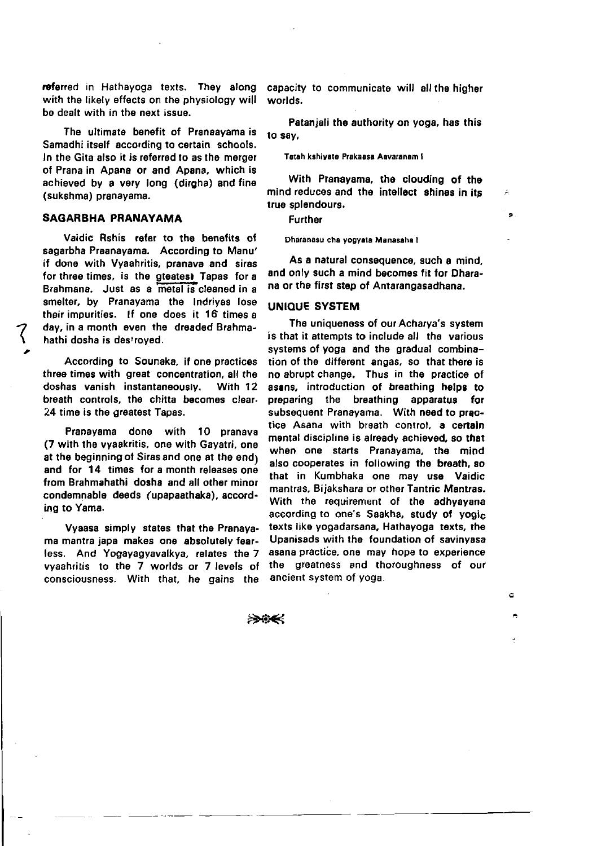referred in Hathayoga texts. They along with the likely effects on the physiology will be dealt with in the next issue.

The ultimate benefit of Pranaavama is Samadhi itself according to certain schools. In the Gita also it is referred to as the merger of Prana in Apana or and Apana, which is achieved by a very long (dirgha) and fine (sukshma) pranavama.

## SAGARRHA PRANAYAMA

Vaidic Rshis refer to the benefits of sagarbha Praanayama. According to Manu' if done with Vyaahritis, pranava and siras for three times, is the gteatest Tapas for a Brahmana. Just as a metal is cleaned in a smelter, by Pranayama the Indrivas lose their impurities. If one does it 16 times a day, in a month even the dreaded Brahmahathi dosha is destroved.

According to Sounaka, if one practices three times with great concentration, all the doshas vanish instantaneously. With 12 breath controls, the chitta becomes clear-24 time is the greatest Tapas.

Pranavama done with 10 pranava (7 with the vyaakritis, one with Gavatri, one at the beginning of Siras and one at the endy and for 14 times for a month releases one from Brahmahathi, dosha, and all other minor condemnable deeds (upapaathaka), according to Yama.

Vyaasa simply states that the Pranavama mantra japa makes one absolutely fearless. And Yogavagvavalkya, relates the 7 vyaahritis to the 7 worlds or 7 levels of consciousness. With that, he gains the

capacity to communicate will all the higher worlds.

Patanjali the authority on yoga, has this to say,

Tatah kahiyate Prakaasa Aayaranam I

With Pranayama, the clouding of the mind reduces and the intellect shines in its true solendours.

Further

Dharanasu cha vogvata Manasaha I

As a natural consequence, such a mind. and only such a mind becomes fit for Dharana or the first step of Antarangasadhana.

### **UNIQUE SYSTEM**

The uniqueness of our Acharva's system is that it attempts to include all the various systems of yoga and the gradual combination of the different angas, so that there is no abrupt change. Thus in the practice of asans, introduction of breathing helps to preparing the breathing apparatus for subsequent Pranayama. With need to practice Asana with breath control, a certain mental discipline is already achieved, so that when one starts Pranayama, the mind also cooperates in following the breath, so that in Kumbhaka one may use Vaidic mantras. Bijakshara or other Tantric Mantras. With the requirement of the adhyayana according to one's Saakha, study of yogic texts like yogadarsana, Hathayoga texts, the Upanisads with the foundation of savinyasa asana practice, one may hope to experience the greatness and thoroughness of our ancient system of yoga.

۵

بصندي